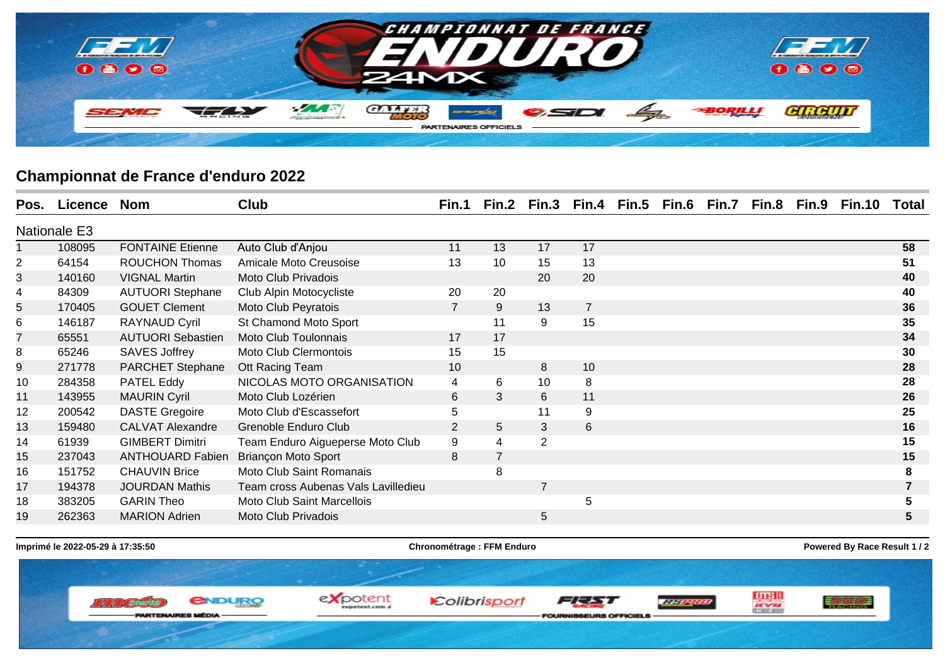

## **Championnat de France d'enduro 2022**

| Pos.           | Licence | <b>Nom</b>               | Club                                | Fin.1          | Fin.2          | Fin.3          |                | Fin.4 Fin.5 | Fin.6 | Fin.7 | Fin.8 | Fin.9 | <b>Fin.10</b> | Total |
|----------------|---------|--------------------------|-------------------------------------|----------------|----------------|----------------|----------------|-------------|-------|-------|-------|-------|---------------|-------|
| Nationale E3   |         |                          |                                     |                |                |                |                |             |       |       |       |       |               |       |
|                | 108095  | <b>FONTAINE Etienne</b>  | Auto Club d'Anjou                   | 11             | 13             | 17             | 17             |             |       |       |       |       |               | 58    |
| 2              | 64154   | <b>ROUCHON Thomas</b>    | Amicale Moto Creusoise              | 13             | 10             | 15             | 13             |             |       |       |       |       |               | 51    |
| 3              | 140160  | <b>VIGNAL Martin</b>     | Moto Club Privadois                 |                |                | 20             | 20             |             |       |       |       |       |               | 40    |
| 4              | 84309   | <b>AUTUORI Stephane</b>  | Club Alpin Motocycliste             | 20             | 20             |                |                |             |       |       |       |       |               | 40    |
| 5              | 170405  | <b>GOUET Clement</b>     | Moto Club Peyratois                 | $\overline{7}$ | 9              | 13             | $\overline{7}$ |             |       |       |       |       |               | 36    |
| 6              | 146187  | <b>RAYNAUD Cyril</b>     | St Chamond Moto Sport               |                | 11             | 9              | 15             |             |       |       |       |       |               | 35    |
| $\overline{7}$ | 65551   | <b>AUTUORI</b> Sebastien | Moto Club Toulonnais                | 17             | 17             |                |                |             |       |       |       |       |               | 34    |
| 8              | 65246   | <b>SAVES Joffrey</b>     | Moto Club Clermontois               | 15             | 15             |                |                |             |       |       |       |       |               | 30    |
| 9              | 271778  | <b>PARCHET Stephane</b>  | Ott Racing Team                     | 10             |                | 8              | 10             |             |       |       |       |       |               | 28    |
| 10             | 284358  | <b>PATEL Eddy</b>        | NICOLAS MOTO ORGANISATION           | $\overline{4}$ | 6              | 10             | 8              |             |       |       |       |       |               | 28    |
| 11             | 143955  | <b>MAURIN Cyril</b>      | Moto Club Lozérien                  | 6              | 3              | 6              | 11             |             |       |       |       |       |               | 26    |
| 12             | 200542  | <b>DASTE Gregoire</b>    | Moto Club d'Escassefort             | 5              |                | 11             | 9              |             |       |       |       |       |               | 25    |
| 13             | 159480  | <b>CALVAT Alexandre</b>  | Grenoble Enduro Club                | $\overline{2}$ | 5              | 3              | 6              |             |       |       |       |       |               | 16    |
| 14             | 61939   | <b>GIMBERT Dimitri</b>   | Team Enduro Aigueperse Moto Club    | 9              | 4              | $\overline{2}$ |                |             |       |       |       |       |               | 15    |
| 15             | 237043  | <b>ANTHOUARD Fabien</b>  | <b>Briançon Moto Sport</b>          | 8              | $\overline{7}$ |                |                |             |       |       |       |       |               | 15    |
| 16             | 151752  | <b>CHAUVIN Brice</b>     | Moto Club Saint Romanais            |                | 8              |                |                |             |       |       |       |       |               |       |
| 17             | 194378  | <b>JOURDAN Mathis</b>    | Team cross Aubenas Vals Lavilledieu |                |                | $\overline{7}$ |                |             |       |       |       |       |               |       |
| 18             | 383205  | <b>GARIN Theo</b>        | Moto Club Saint Marcellois          |                |                |                | 5              |             |       |       |       |       |               |       |
| 19             | 262363  | <b>MARION Adrien</b>     | Moto Club Privadois                 |                |                | 5              |                |             |       |       |       |       |               | 5     |

**Imprimé le 2022-05-29 à 17:35:50 Chronométrage : FFM Enduro Powered By Race Result 1 / 2**